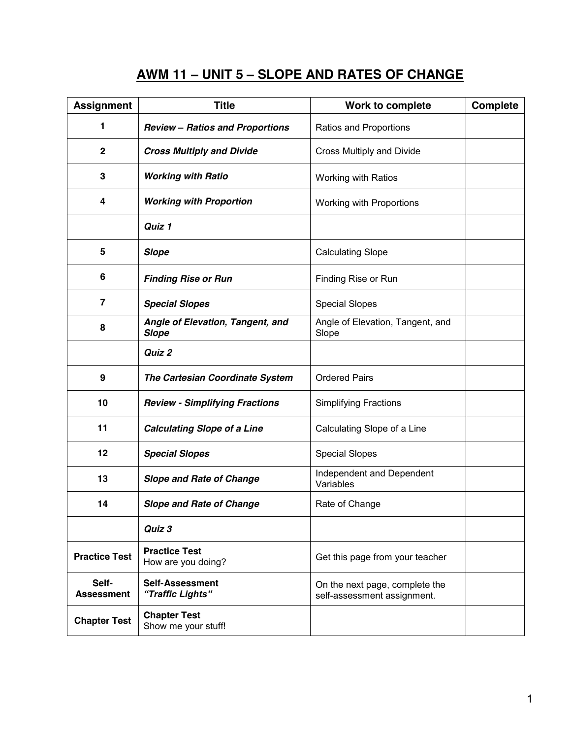# **AWM 11 – UNIT 5 – SLOPE AND RATES OF CHANGE**

| <b>Assignment</b>          | <b>Title</b>                                     | Work to complete                                              | <b>Complete</b> |
|----------------------------|--------------------------------------------------|---------------------------------------------------------------|-----------------|
| 1                          | <b>Review - Ratios and Proportions</b>           | Ratios and Proportions                                        |                 |
| $\mathbf 2$                | <b>Cross Multiply and Divide</b>                 | Cross Multiply and Divide                                     |                 |
| 3                          | <b>Working with Ratio</b>                        | Working with Ratios                                           |                 |
| 4                          | <b>Working with Proportion</b>                   | <b>Working with Proportions</b>                               |                 |
|                            | Quiz 1                                           |                                                               |                 |
| 5                          | <b>Slope</b>                                     | <b>Calculating Slope</b>                                      |                 |
| 6                          | <b>Finding Rise or Run</b>                       | Finding Rise or Run                                           |                 |
| $\overline{7}$             | <b>Special Slopes</b>                            | <b>Special Slopes</b>                                         |                 |
| 8                          | Angle of Elevation, Tangent, and<br><b>Slope</b> | Angle of Elevation, Tangent, and<br>Slope                     |                 |
|                            | Quiz 2                                           |                                                               |                 |
| 9                          | The Cartesian Coordinate System                  | <b>Ordered Pairs</b>                                          |                 |
| 10                         | <b>Review - Simplifying Fractions</b>            | <b>Simplifying Fractions</b>                                  |                 |
| 11                         | <b>Calculating Slope of a Line</b>               | Calculating Slope of a Line                                   |                 |
| 12                         | <b>Special Slopes</b>                            | <b>Special Slopes</b>                                         |                 |
| 13                         | <b>Slope and Rate of Change</b>                  | Independent and Dependent<br>Variables                        |                 |
| 14                         | <b>Slope and Rate of Change</b>                  | Rate of Change                                                |                 |
|                            | Quiz 3                                           |                                                               |                 |
| <b>Practice Test</b>       | <b>Practice Test</b><br>How are you doing?       | Get this page from your teacher                               |                 |
| Self-<br><b>Assessment</b> | <b>Self-Assessment</b><br>"Traffic Lights"       | On the next page, complete the<br>self-assessment assignment. |                 |
| <b>Chapter Test</b>        | <b>Chapter Test</b><br>Show me your stuff!       |                                                               |                 |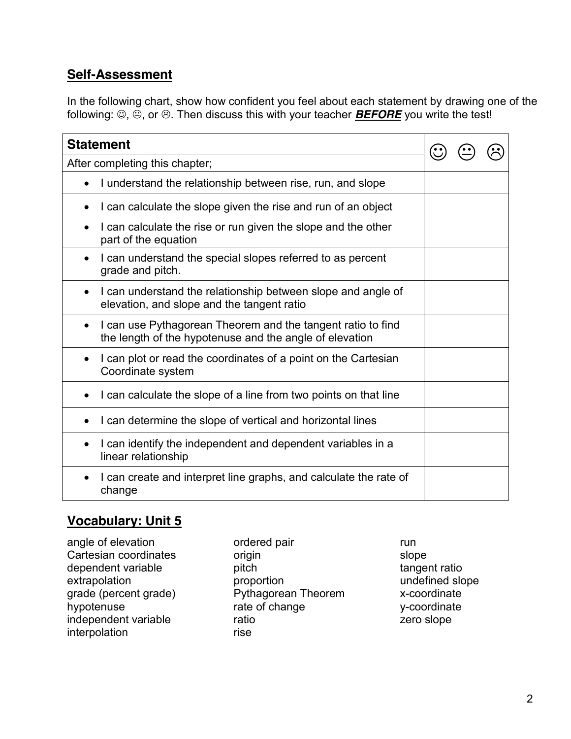### **Self-Assessment**

In the following chart, show how confident you feel about each statement by drawing one of the following:  $\textcircled{.} \oplus$ , or  $\textcircled{.}$  Then discuss this with your teacher **BEFORE** you write the test!

| <b>Statement</b>                                                                                                        |  |  |
|-------------------------------------------------------------------------------------------------------------------------|--|--|
| After completing this chapter;                                                                                          |  |  |
| I understand the relationship between rise, run, and slope                                                              |  |  |
| I can calculate the slope given the rise and run of an object                                                           |  |  |
| I can calculate the rise or run given the slope and the other<br>part of the equation                                   |  |  |
| I can understand the special slopes referred to as percent<br>grade and pitch.                                          |  |  |
| I can understand the relationship between slope and angle of<br>$\bullet$<br>elevation, and slope and the tangent ratio |  |  |
| I can use Pythagorean Theorem and the tangent ratio to find<br>the length of the hypotenuse and the angle of elevation  |  |  |
| I can plot or read the coordinates of a point on the Cartesian<br>Coordinate system                                     |  |  |
| I can calculate the slope of a line from two points on that line                                                        |  |  |
| I can determine the slope of vertical and horizontal lines                                                              |  |  |
| I can identify the independent and dependent variables in a<br>$\bullet$<br>linear relationship                         |  |  |
| I can create and interpret line graphs, and calculate the rate of<br>change                                             |  |  |

### **Vocabulary: Unit 5**

| angle of elevation    |
|-----------------------|
| Cartesian coordinates |
| dependent variable    |
| extrapolation         |
| grade (percent grade) |
| hypotenuse            |
| independent variable  |
| interpolation         |
|                       |

ordered pair origin pitch proportion Pythagorean Theorem rate of change ratio rise

run slope tangent ratio undefined slope x-coordinate y-coordinate zero slope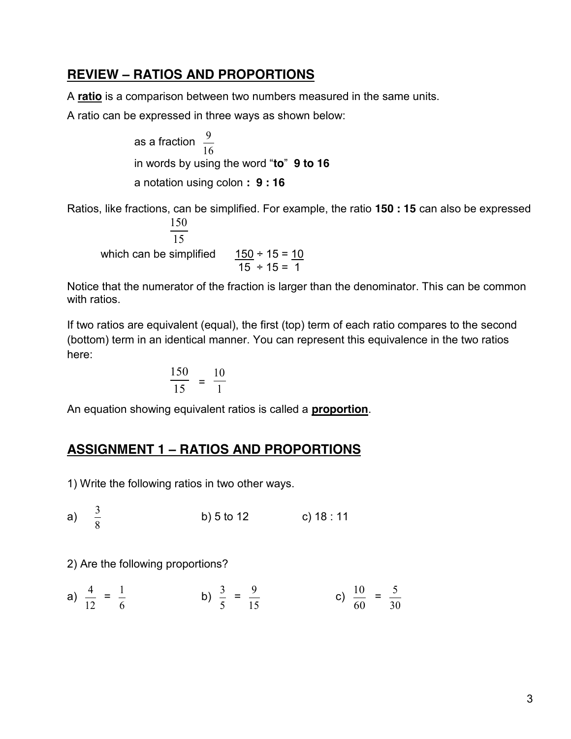#### **REVIEW – RATIOS AND PROPORTIONS**

A **ratio** is a comparison between two numbers measured in the same units.

A ratio can be expressed in three ways as shown below:

as a fraction 16 9 in words by using the word "**to**" **9 to 16** a notation using colon **: 9 : 16**

Ratios, like fractions, can be simplified. For example, the ratio **150 : 15** can also be expressed  $\overline{15}$ 150

which can be simplified  $\frac{150 \div 15}{15 \div 15} = \frac{10}{15}$ 

Notice that the numerator of the fraction is larger than the denominator. This can be common with ratios.

If two ratios are equivalent (equal), the first (top) term of each ratio compares to the second (bottom) term in an identical manner. You can represent this equivalence in the two ratios here:

$$
\frac{150}{15} = \frac{10}{1}
$$

An equation showing equivalent ratios is called a **proportion**.

## **ASSIGNMENT 1 – RATIOS AND PROPORTIONS**

1) Write the following ratios in two other ways.

a)  $\frac{3}{8}$ b) 5 to 12 c) 18 : 11

2) Are the following proportions?

a) 
$$
\frac{4}{12} = \frac{1}{6}
$$
 b)  $\frac{3}{5} = \frac{9}{15}$  c)  $\frac{10}{60} = \frac{5}{30}$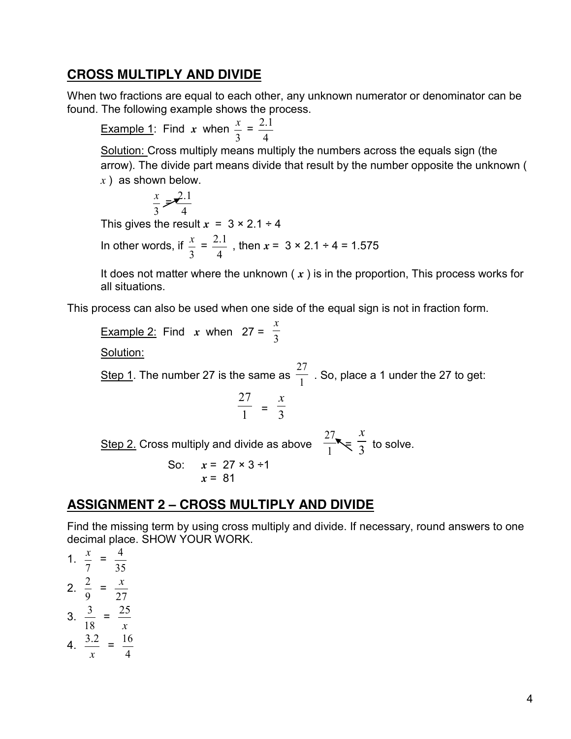#### **CROSS MULTIPLY AND DIVIDE**

When two fractions are equal to each other, any unknown numerator or denominator can be found. The following example shows the process.

Example 1: Find *x* when 3  $\frac{x}{x}$  = 4 2.1

Solution: Cross multiply means multiply the numbers across the equals sign (the arrow). The divide part means divide that result by the number opposite the unknown ( *x* ) as shown below.

$$
\frac{x}{3} = \frac{2.1}{4}
$$

This gives the result  $x = 3 \times 2.1 \div 4$ 

In other words, if  $\frac{x}{3}$  = 4  $\frac{2.1}{4}$ , then  $x = 3 \times 2.1 \div 4 = 1.575$ 

It does not matter where the unknown ( *x* ) is in the proportion, This process works for all situations.

This process can also be used when one side of the equal sign is not in fraction form.

<u>Example 2:</u> Find *x* when  $27 = \frac{1}{3}$ *x* Solution: Step 1. The number 27 is the same as  $\frac{1}{1}$ 27 . So, place a 1 under the 27 to get:  $\frac{27}{1}$  =  $\frac{x}{3}$ Step 2. Cross multiply and divide as above  $\frac{27}{1}$ ,  $\frac{x}{3}$ to solve. So:  $x = 27 \times 3 \div 1$ *x* = 81

#### **ASSIGNMENT 2 – CROSS MULTIPLY AND DIVIDE**

Find the missing term by using cross multiply and divide. If necessary, round answers to one decimal place. SHOW YOUR WORK.

1. 7  $\frac{x}{x}$  = 35 4 2. 9  $\frac{2}{2}$  = 27 *x* 3. 18  $\frac{3}{2}$  = *x* 25 4. *x*  $\frac{3.2}{ } =$ 4 16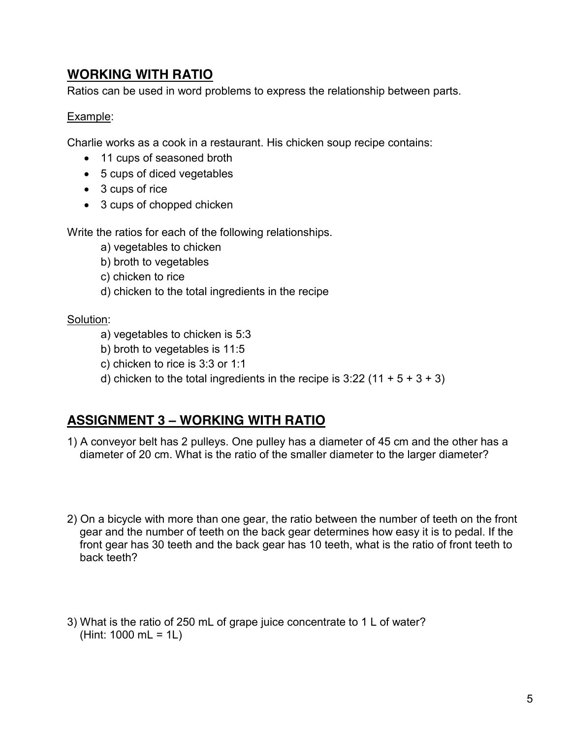### **WORKING WITH RATIO**

Ratios can be used in word problems to express the relationship between parts.

#### Example:

Charlie works as a cook in a restaurant. His chicken soup recipe contains:

- 11 cups of seasoned broth
- $\bullet$  5 cups of diced vegetables
- $\bullet$  3 cups of rice
- 3 cups of chopped chicken

Write the ratios for each of the following relationships.

- a) vegetables to chicken
- b) broth to vegetables
- c) chicken to rice
- d) chicken to the total ingredients in the recipe

#### Solution:

- a) vegetables to chicken is 5:3
- b) broth to vegetables is 11:5
- c) chicken to rice is 3:3 or 1:1
- d) chicken to the total ingredients in the recipe is  $3:22$  (11 + 5 + 3 + 3)

## **ASSIGNMENT 3 – WORKING WITH RATIO**

- 1) A conveyor belt has 2 pulleys. One pulley has a diameter of 45 cm and the other has a diameter of 20 cm. What is the ratio of the smaller diameter to the larger diameter?
- 2) On a bicycle with more than one gear, the ratio between the number of teeth on the front gear and the number of teeth on the back gear determines how easy it is to pedal. If the front gear has 30 teeth and the back gear has 10 teeth, what is the ratio of front teeth to back teeth?
- 3) What is the ratio of 250 mL of grape juice concentrate to 1 L of water? (Hint: 1000 mL = 1L)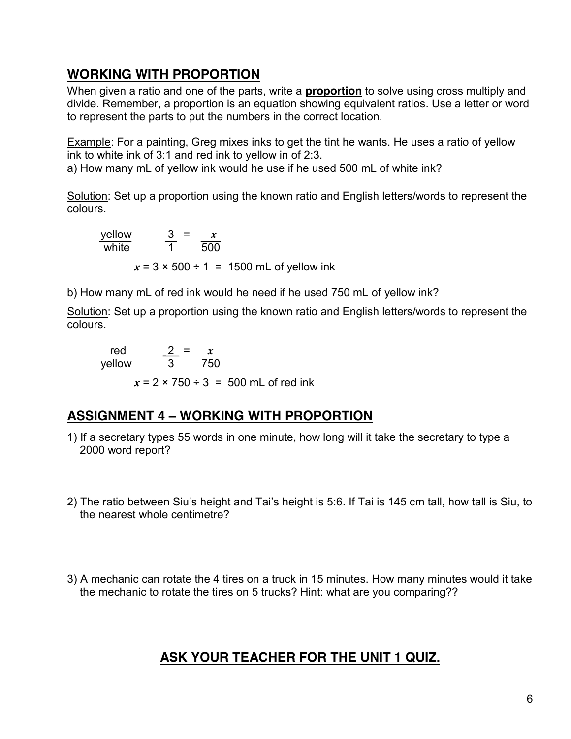# **WORKING WITH PROPORTION**

When given a ratio and one of the parts, write a **proportion** to solve using cross multiply and divide. Remember, a proportion is an equation showing equivalent ratios. Use a letter or word to represent the parts to put the numbers in the correct location.

Example: For a painting, Greg mixes inks to get the tint he wants. He uses a ratio of yellow ink to white ink of 3:1 and red ink to yellow in of 2:3.

a) How many mL of yellow ink would he use if he used 500 mL of white ink?

Solution: Set up a proportion using the known ratio and English letters/words to represent the colours.

yellow  $3 = x$ white 1 500  $x = 3 \times 500 \div 1 = 1500$  mL of yellow ink

b) How many mL of red ink would he need if he used 750 mL of yellow ink?

Solution: Set up a proportion using the known ratio and English letters/words to represent the colours.

 red 2 = *x* yellow 3 750

 $x = 2 \times 750 \div 3 = 500$  mL of red ink

## **ASSIGNMENT 4 – WORKING WITH PROPORTION**

- 1) If a secretary types 55 words in one minute, how long will it take the secretary to type a 2000 word report?
- 2) The ratio between Siu's height and Tai's height is 5:6. If Tai is 145 cm tall, how tall is Siu, to the nearest whole centimetre?
- 3) A mechanic can rotate the 4 tires on a truck in 15 minutes. How many minutes would it take the mechanic to rotate the tires on 5 trucks? Hint: what are you comparing??

# **ASK YOUR TEACHER FOR THE UNIT 1 QUIZ.**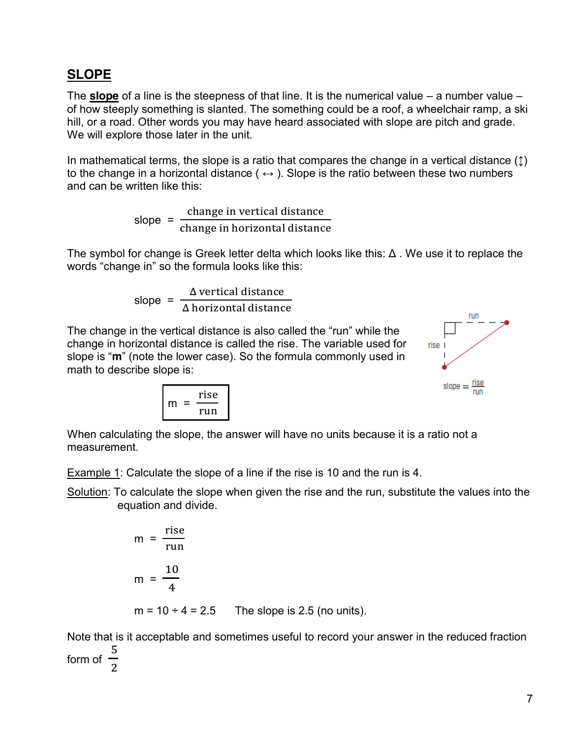## **SLOPE**

The **slope** of a line is the steepness of that line. It is the numerical value – a number value – of how steeply something is slanted. The something could be a roof, a wheelchair ramp, a ski hill, or a road. Other words you may have heard associated with slope are pitch and grade. We will explore those later in the unit.

In mathematical terms, the slope is a ratio that compares the change in a vertical distance  $(1)$ to the change in a horizontal distance ( $\leftrightarrow$ ). Slope is the ratio between these two numbers and can be written like this:

> slope =  $\mathbf{C}$  $\mathbf{c}$

The symbol for change is Greek letter delta which looks like this: Δ . We use it to replace the words "change in" so the formula looks like this:

> slope = Δ Δ

The change in the vertical distance is also called the "run" while the change in horizontal distance is called the rise. The variable used for slope is "**m**" (note the lower case). So the formula commonly used in math to describe slope is:



$$
m = \frac{rise}{run}
$$

When calculating the slope, the answer will have no units because it is a ratio not a measurement.

Example 1: Calculate the slope of a line if the rise is 10 and the run is 4.

Solution: To calculate the slope when given the rise and the run, substitute the values into the equation and divide.

$$
m = \frac{rise}{run}
$$
  
\n
$$
m = \frac{10}{4}
$$
  
\n
$$
m = 10 \div 4 = 2.5
$$
 The slope is 2.5 (no units).

Note that is it acceptable and sometimes useful to record your answer in the reduced fraction form of 5  $\overline{\mathbf{c}}$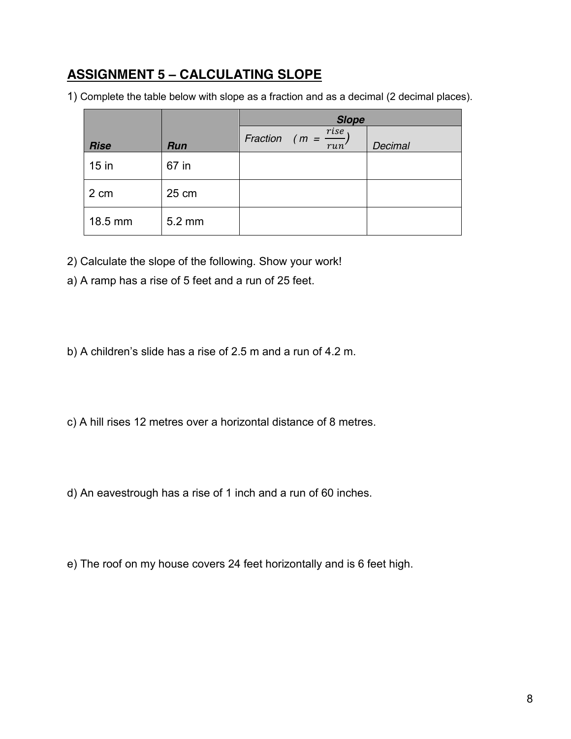# **ASSIGNMENT 5 – CALCULATING SLOPE**

1) Complete the table below with slope as a fraction and as a decimal (2 decimal places).

|             |        | <b>Slope</b>                        |         |  |  |
|-------------|--------|-------------------------------------|---------|--|--|
| <b>Rise</b> | Run    | Fraction ( $m = \frac{rise}{run}$ ) | Decimal |  |  |
| $15$ in     | 67 in  |                                     |         |  |  |
| 2 cm        | 25 cm  |                                     |         |  |  |
| 18.5 mm     | 5.2 mm |                                     |         |  |  |

- 2) Calculate the slope of the following. Show your work!
- a) A ramp has a rise of 5 feet and a run of 25 feet.
- b) A children's slide has a rise of 2.5 m and a run of 4.2 m.
- c) A hill rises 12 metres over a horizontal distance of 8 metres.
- d) An eavestrough has a rise of 1 inch and a run of 60 inches.
- e) The roof on my house covers 24 feet horizontally and is 6 feet high.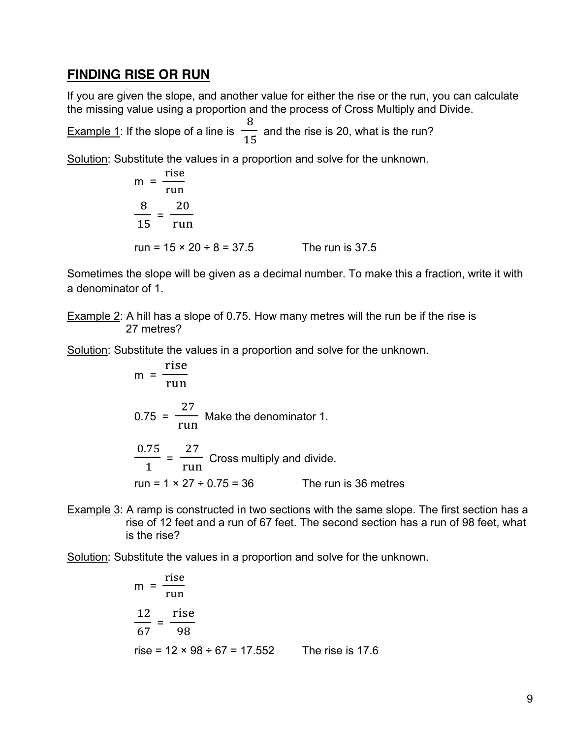#### **FINDING RISE OR RUN**

If you are given the slope, and another value for either the rise or the run, you can calculate the missing value using a proportion and the process of Cross Multiply and Divide.

Example 1: If the slope of a line is 8  $\frac{1}{15}$  and the rise is 20, what is the run?

Solution: Substitute the values in a proportion and solve for the unknown.

$$
m = \frac{rise}{run}
$$
  

$$
\frac{8}{15} = \frac{20}{run}
$$
  
run = 15 × 20 ÷ 8 = 37.5 The run is 37.5

Sometimes the slope will be given as a decimal number. To make this a fraction, write it with a denominator of 1.

Example 2: A hill has a slope of 0.75. How many metres will the run be if the rise is 27 metres?

Solution: Substitute the values in a proportion and solve for the unknown.

m = 
$$
\frac{rise}{run}
$$
  
\n0.75 =  $\frac{27}{run}$  Make the denominator 1.  
\n $\frac{0.75}{1} = \frac{27}{run}$  Cross multiply and divide.  
\nrun = 1 × 27 ÷ 0.75 = 36 The run is 36 metres

Example 3: A ramp is constructed in two sections with the same slope. The first section has a rise of 12 feet and a run of 67 feet. The second section has a run of 98 feet, what is the rise?

Solution: Substitute the values in a proportion and solve for the unknown.

m = 
$$
\frac{rise}{run}
$$
  
\n $\frac{12}{67} = \frac{rise}{98}$   
\nrise = 12 × 98 ÷ 67 = 17.552 The rise is 17.6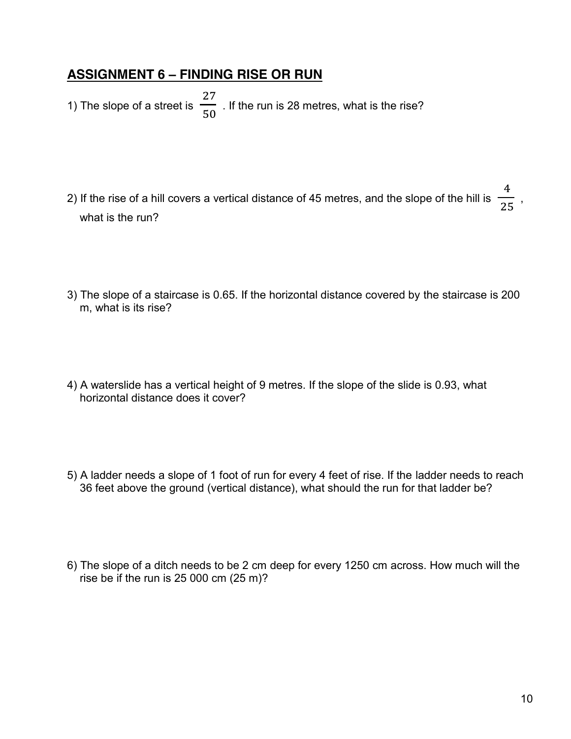#### **ASSIGNMENT 6 – FINDING RISE OR RUN**

1) The slope of a street is  $\overline{\mathbf{c}}$ 5 . If the run is 28 metres, what is the rise?

- 2) If the rise of a hill covers a vertical distance of 45 metres, and the slope of the hill is 4  $\frac{1}{25}$ , what is the run?
- 3) The slope of a staircase is 0.65. If the horizontal distance covered by the staircase is 200 m, what is its rise?
- 4) A waterslide has a vertical height of 9 metres. If the slope of the slide is 0.93, what horizontal distance does it cover?
- 5) A ladder needs a slope of 1 foot of run for every 4 feet of rise. If the ladder needs to reach 36 feet above the ground (vertical distance), what should the run for that ladder be?
- 6) The slope of a ditch needs to be 2 cm deep for every 1250 cm across. How much will the rise be if the run is  $25000 \text{ cm } (25 \text{ m})$ ?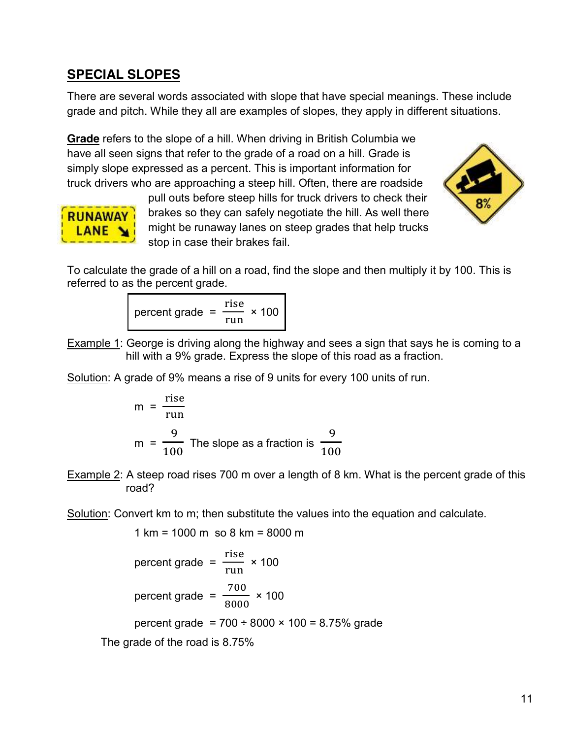#### **SPECIAL SLOPES**

There are several words associated with slope that have special meanings. These include grade and pitch. While they all are examples of slopes, they apply in different situations.

**Grade** refers to the slope of a hill. When driving in British Columbia we have all seen signs that refer to the grade of a road on a hill. Grade is simply slope expressed as a percent. This is important information for truck drivers who are approaching a steep hill. Often, there are roadside





pull outs before steep hills for truck drivers to check their brakes so they can safely negotiate the hill. As well there might be runaway lanes on steep grades that help trucks stop in case their brakes fail.

To calculate the grade of a hill on a road, find the slope and then multiply it by 100. This is referred to as the percent grade.

> percent grade = r  $\frac{100}{100}$  × 100

Example 1: George is driving along the highway and sees a sign that says he is coming to a hill with a 9% grade. Express the slope of this road as a fraction.

Solution: A grade of 9% means a rise of 9 units for every 100 units of run.

$$
m = \frac{rise}{run}
$$
  

$$
m = \frac{9}{100}
$$
 The slope as a fraction is  $\frac{9}{100}$ 

Example 2: A steep road rises 700 m over a length of 8 km. What is the percent grade of this road?

Solution: Convert km to m; then substitute the values into the equation and calculate.

$$
1 \text{ km} = 1000 \text{ m so } 8 \text{ km} = 8000 \text{ m}
$$
\n
$$
\text{percent grade} = \frac{\text{rise}}{\text{run}} \times 100
$$
\n
$$
\text{percent grade} = \frac{700}{8000} \times 100
$$
\n
$$
\text{percent grade} = 700 \div 8000 \times 100 = 8.75\% \text{ grade}
$$
\n
$$
\text{The grade of the road is } 8.75\%
$$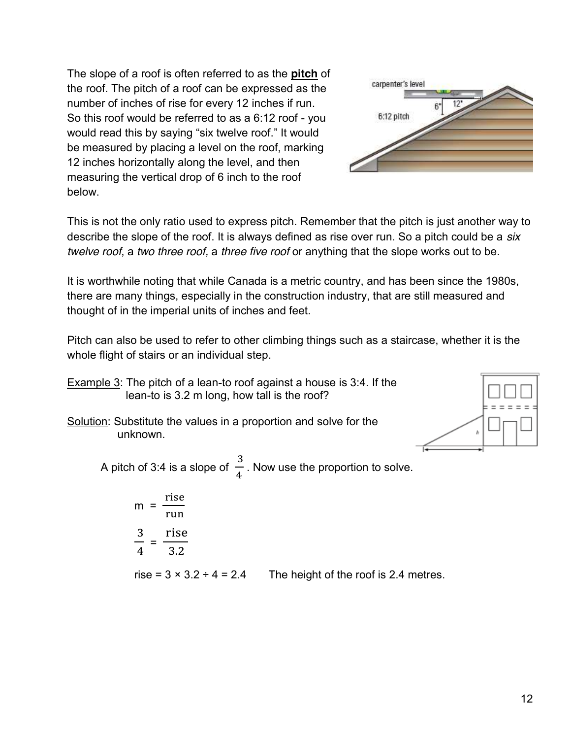The slope of a roof is often referred to as the **pitch** of the roof. The pitch of a roof can be expressed as the number of inches of rise for every 12 inches if run. So this roof would be referred to as a 6:12 roof - you would read this by saying "six twelve roof." It would be measured by placing a level on the roof, marking 12 inches horizontally along the level, and then measuring the vertical drop of 6 inch to the roof below.



This is not the only ratio used to express pitch. Remember that the pitch is just another way to describe the slope of the roof. It is always defined as rise over run. So a pitch could be a *six twelve roof*, a *two three roof,* a *three five roof* or anything that the slope works out to be.

It is worthwhile noting that while Canada is a metric country, and has been since the 1980s, there are many things, especially in the construction industry, that are still measured and thought of in the imperial units of inches and feet.

Pitch can also be used to refer to other climbing things such as a staircase, whether it is the whole flight of stairs or an individual step.

- Example 3: The pitch of a lean-to roof against a house is 3:4. If the lean-to is 3.2 m long, how tall is the roof?
- Solution: Substitute the values in a proportion and solve for the unknown.



A pitch of 3:4 is a slope of 3  $\frac{1}{4}$  . Now use the proportion to solve.

$$
m = \frac{rise}{run}
$$

$$
\frac{3}{4} = \frac{rise}{3.2}
$$

rise =  $3 \times 3.2 \div 4 = 2.4$  The height of the roof is 2.4 metres.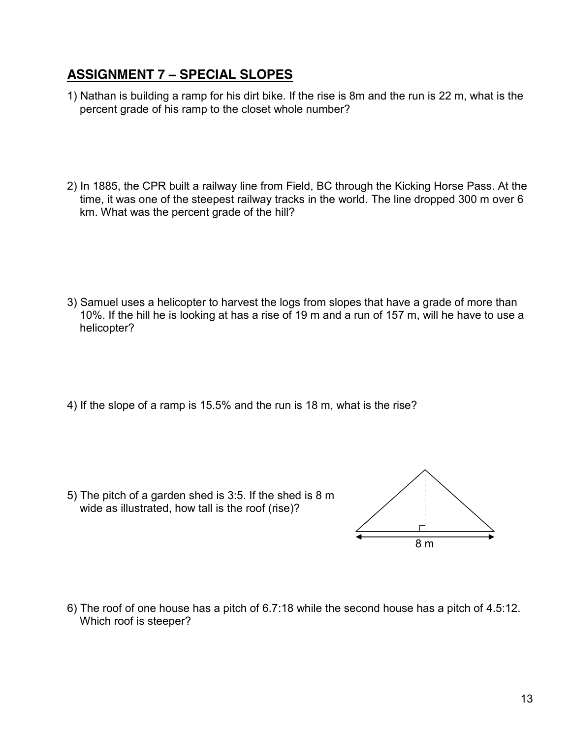### **ASSIGNMENT 7 – SPECIAL SLOPES**

- 1) Nathan is building a ramp for his dirt bike. If the rise is 8m and the run is 22 m, what is the percent grade of his ramp to the closet whole number?
- 2) In 1885, the CPR built a railway line from Field, BC through the Kicking Horse Pass. At the time, it was one of the steepest railway tracks in the world. The line dropped 300 m over 6 km. What was the percent grade of the hill?

- 3) Samuel uses a helicopter to harvest the logs from slopes that have a grade of more than 10%. If the hill he is looking at has a rise of 19 m and a run of 157 m, will he have to use a helicopter?
- 4) If the slope of a ramp is 15.5% and the run is 18 m, what is the rise?

5) The pitch of a garden shed is 3:5. If the shed is 8 m wide as illustrated, how tall is the roof (rise)?



6) The roof of one house has a pitch of 6.7:18 while the second house has a pitch of 4.5:12. Which roof is steeper?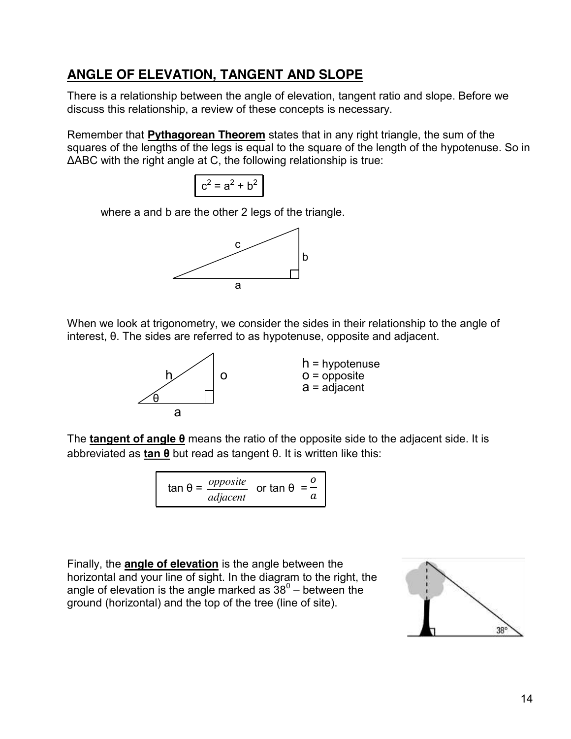# **ANGLE OF ELEVATION, TANGENT AND SLOPE**

There is a relationship between the angle of elevation, tangent ratio and slope. Before we discuss this relationship, a review of these concepts is necessary.

Remember that **Pythagorean Theorem** states that in any right triangle, the sum of the squares of the lengths of the legs is equal to the square of the length of the hypotenuse. So in ΔABC with the right angle at C, the following relationship is true:



where a and b are the other 2 legs of the triangle.



When we look at trigonometry, we consider the sides in their relationship to the angle of interest, θ. The sides are referred to as hypotenuse, opposite and adjacent.



h = hypotenuse  $a = adiacent$ 

The **tangent of angle θ** means the ratio of the opposite side to the adjacent side. It is abbreviated as **tan θ** but read as tangent θ. It is written like this:

$$
\tan \theta = \frac{opposite}{adjacent} \quad \text{or } \tan \theta = \frac{0}{a}
$$

Finally, the **angle of elevation** is the angle between the horizontal and your line of sight. In the diagram to the right, the angle of elevation is the angle marked as  $38^\circ$  – between the ground (horizontal) and the top of the tree (line of site).

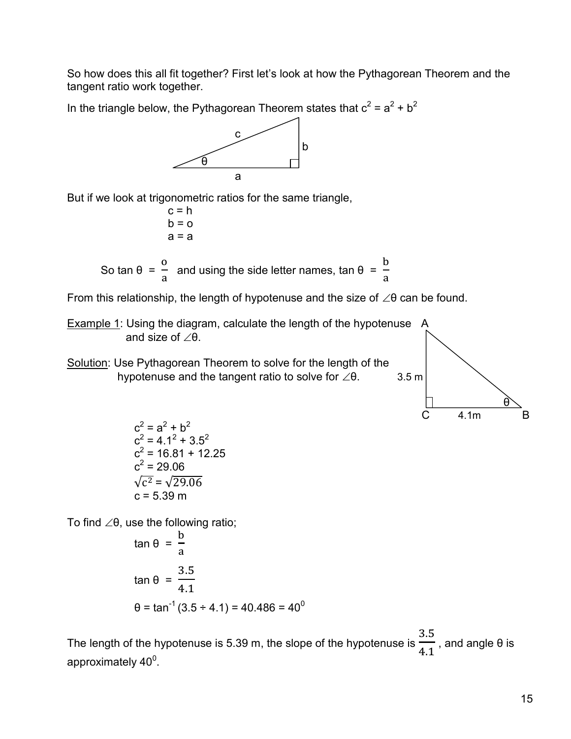So how does this all fit together? First let's look at how the Pythagorean Theorem and the tangent ratio work together.

In the triangle below, the Pythagorean Theorem states that  $c^2 = a^2 + b^2$ 



But if we look at trigonometric ratios for the same triangle,

 $c = h$  $b = o$  $a = a$ 

So tan  $θ =$  $\mathbf{o}$  $\frac{1}{a}$  and using the side letter names, tan θ =  $\mathbf b$  $\frac{a}{a}$ 

From this relationship, the length of hypotenuse and the size of  $\angle \theta$  can be found.

**Example 1: Using the diagram, calculate the length of the hypotenuse** A and size of  $\angle \theta$ .

Solution: Use Pythagorean Theorem to solve for the length of the hypotenuse and the tangent ratio to solve for  $\angle \theta$ . 3.5 m



 $c^2 = a^2 + b^2$  $c^2$  = 4.1<sup>2</sup> + 3.5<sup>2</sup>  $c^2$  = 16.81 + 12.25  $c^2 = 29.06$  $\sqrt{c^2} = \sqrt{29.06}$  $c = 5.39$  m

To find  $\angle \theta$ , use the following ratio;

$$
\tan \theta = \frac{b}{a}
$$
  
\n
$$
\tan \theta = \frac{3.5}{4.1}
$$
  
\n
$$
\theta = \tan^{-1}(3.5 \div 4.1) = 40.486 = 40^{\circ}
$$

The length of the hypotenuse is 5.39 m, the slope of the hypotenuse is 3  $\overline{4.1}$ , and angle  $\theta$  is approximately 40 $^{\rm 0}$ .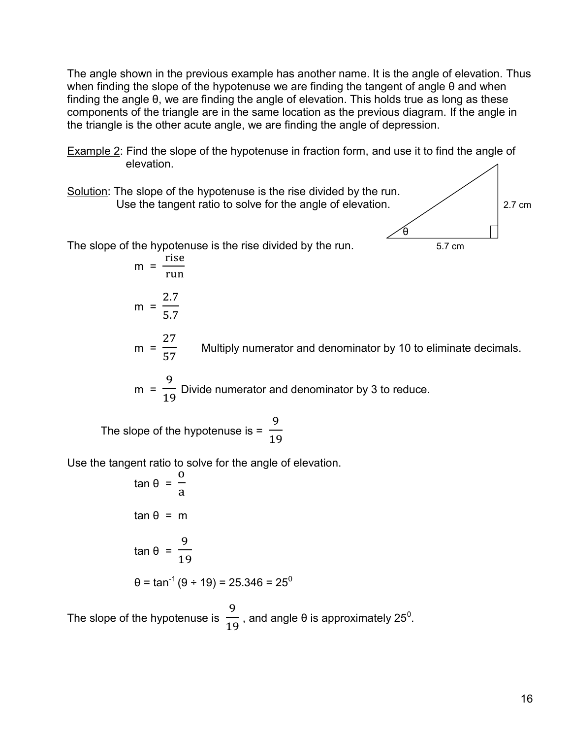The angle shown in the previous example has another name. It is the angle of elevation. Thus when finding the slope of the hypotenuse we are finding the tangent of angle θ and when finding the angle θ, we are finding the angle of elevation. This holds true as long as these components of the triangle are in the same location as the previous diagram. If the angle in the triangle is the other acute angle, we are finding the angle of depression.

- Example 2: Find the slope of the hypotenuse in fraction form, and use it to find the angle of elevation.
- Solution: The slope of the hypotenuse is the rise divided by the run. Use the tangent ratio to solve for the angle of elevation.  $\angle$ θ The slope of the hypotenuse is the rise divided by the run. 5.7 cm  $m =$ r r
	- $m =$  $\overline{\mathbf{c}}$ **W**ultiply numerator and denominator by 10 to eliminate decimals.
	- $m =$ 9  $\mathbf{1}$ Divide numerator and denominator by 3 to reduce.

The slope of the hypotenuse is = 9  $\mathbf{1}$ 

 $m =$ 

 $\overline{\mathbf{c}}$ 5

Use the tangent ratio to solve for the angle of elevation.

$$
\tan \theta = \frac{0}{a}
$$
  
\n
$$
\tan \theta = m
$$
  
\n
$$
\tan \theta = \frac{9}{19}
$$
  
\n
$$
\theta = \tan^{-1}(9 \div 19) = 25.346 = 25^{\circ}
$$

The slope of the hypotenuse is 9  $\frac{1}{19}$ , and angle θ is approximately 25<sup>0</sup>.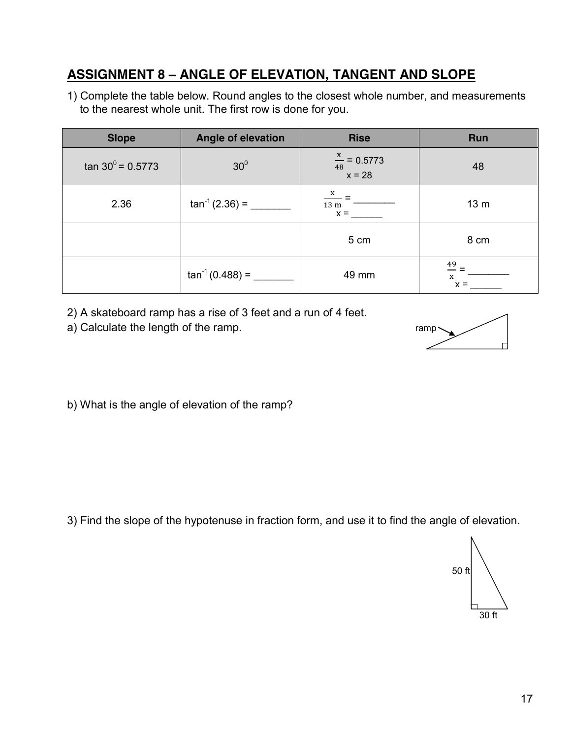# **ASSIGNMENT 8 – ANGLE OF ELEVATION, TANGENT AND SLOPE**

1) Complete the table below. Round angles to the closest whole number, and measurements to the nearest whole unit. The first row is done for you.

| <b>Slope</b>             | <b>Angle of elevation</b> | <b>Rise</b>                                     | Run              |
|--------------------------|---------------------------|-------------------------------------------------|------------------|
| $\tan 30^\circ = 0.5773$ | 30 <sup>0</sup>           | $\frac{x}{48}$ = 0.5773<br>$x = 28$             | 48               |
| 2.36                     | $tan^{-1}(2.36) =$        | $\frac{X}{1}$ =<br>$13 m$ <sup>-</sup><br>$x =$ | 13 <sub>m</sub>  |
|                          |                           | 5 cm                                            | 8 cm             |
|                          | $tan^{-1}(0.488) =$       | 49 mm                                           | 49<br>X<br>$x =$ |

2) A skateboard ramp has a rise of 3 feet and a run of 4 feet.

a) Calculate the length of the ramp. The ramp ramp ramp



b) What is the angle of elevation of the ramp?

3) Find the slope of the hypotenuse in fraction form, and use it to find the angle of elevation.

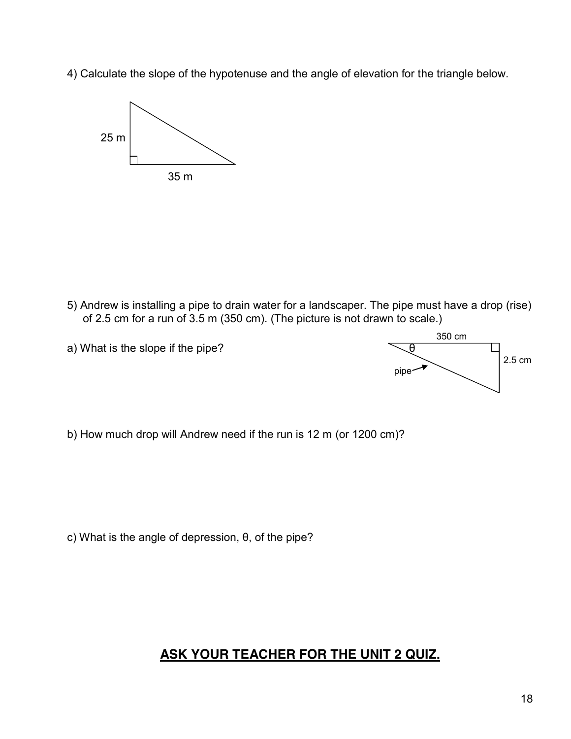4) Calculate the slope of the hypotenuse and the angle of elevation for the triangle below.



5) Andrew is installing a pipe to drain water for a landscaper. The pipe must have a drop (rise) of 2.5 cm for a run of 3.5 m (350 cm). (The picture is not drawn to scale.)



b) How much drop will Andrew need if the run is 12 m (or 1200 cm)?

c) What is the angle of depression, θ, of the pipe?

#### **ASK YOUR TEACHER FOR THE UNIT 2 QUIZ.**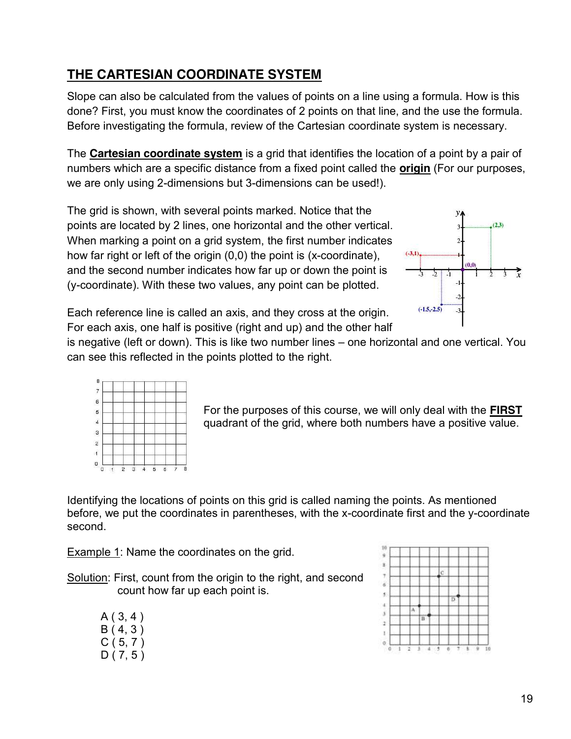# **THE CARTESIAN COORDINATE SYSTEM**

Slope can also be calculated from the values of points on a line using a formula. How is this done? First, you must know the coordinates of 2 points on that line, and the use the formula. Before investigating the formula, review of the Cartesian coordinate system is necessary.

The **Cartesian coordinate system** is a grid that identifies the location of a point by a pair of numbers which are a specific distance from a fixed point called the **origin** (For our purposes, we are only using 2-dimensions but 3-dimensions can be used!).

The grid is shown, with several points marked. Notice that the points are located by 2 lines, one horizontal and the other vertical. When marking a point on a grid system, the first number indicates how far right or left of the origin (0,0) the point is (x-coordinate), and the second number indicates how far up or down the point is (y-coordinate). With these two values, any point can be plotted.



Each reference line is called an axis, and they cross at the origin. For each axis, one half is positive (right and up) and the other half

is negative (left or down). This is like two number lines – one horizontal and one vertical. You can see this reflected in the points plotted to the right.



For the purposes of this course, we will only deal with the **FIRST** quadrant of the grid, where both numbers have a positive value.

Identifying the locations of points on this grid is called naming the points. As mentioned before, we put the coordinates in parentheses, with the x-coordinate first and the y-coordinate second.

Example 1: Name the coordinates on the grid.

Solution: First, count from the origin to the right, and second count how far up each point is.

|  | A(3, 4)    |  |
|--|------------|--|
|  | B(4, 3)    |  |
|  | C ( 5, 7 ) |  |
|  | D(7, 5)    |  |

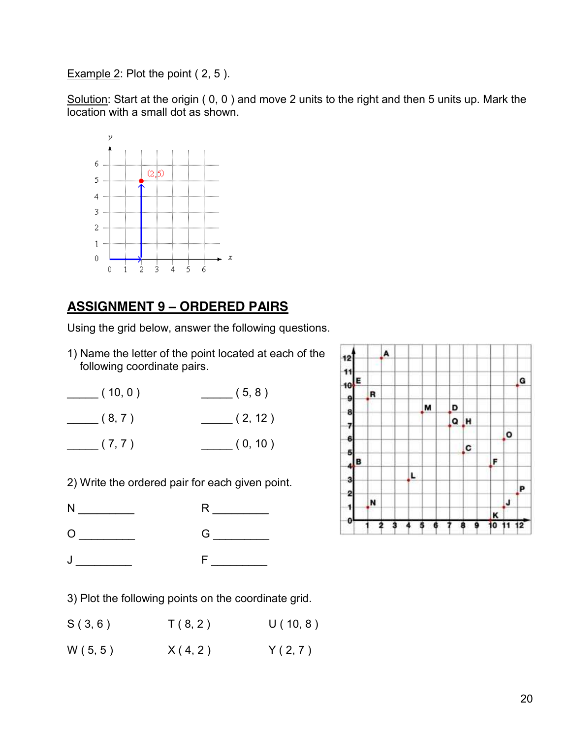Example 2: Plot the point (2, 5).

Solution: Start at the origin (0, 0) and move 2 units to the right and then 5 units up. Mark the location with a small dot as shown.



# **ASSIGNMENT 9 – ORDERED PAIRS**

Using the grid below, answer the following questions.

1) Name the letter of the point located at each of the following coordinate pairs.

| (10, 0) | (5, 8)  |
|---------|---------|
| (8, 7)  | (2, 12) |
| (7, 7)  | (0, 10) |

2) Write the ordered pair for each given point.

N \_\_\_\_\_\_\_\_\_\_\_\_ R \_\_\_\_\_\_\_\_

O \_\_\_\_\_\_\_\_\_\_\_ G \_\_\_\_\_\_\_\_

J \_\_\_\_\_\_ F\_\_\_\_\_\_\_



3) Plot the following points on the coordinate grid.

 $S(3, 6)$   $T(8, 2)$   $U(10, 8)$ 

 $W(5, 5)$   $X(4, 2)$   $Y(2, 7)$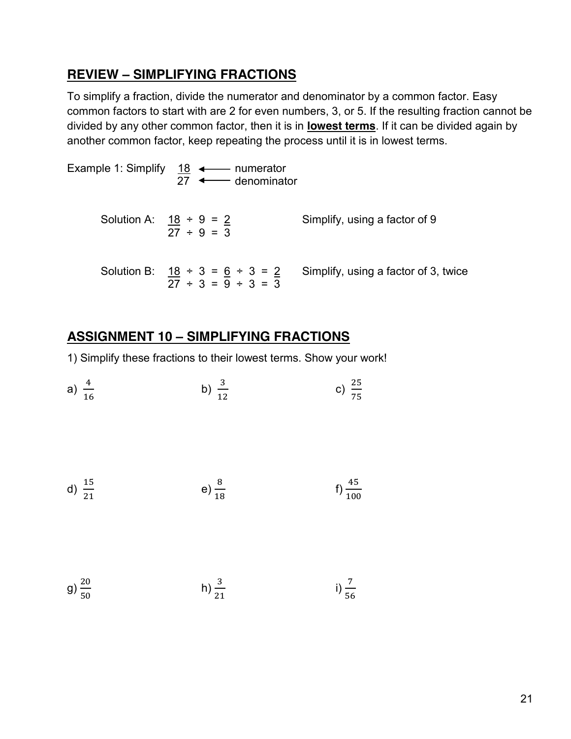#### **REVIEW – SIMPLIFYING FRACTIONS**

To simplify a fraction, divide the numerator and denominator by a common factor. Easy common factors to start with are 2 for even numbers, 3, or 5. If the resulting fraction cannot be divided by any other common factor, then it is in **lowest terms**. If it can be divided again by another common factor, keep repeating the process until it is in lowest terms.

| Example 1: Simplify 18 ← numerator               |                 | 27 <b>+</b> denominator    |                                      |
|--------------------------------------------------|-----------------|----------------------------|--------------------------------------|
| Solution A: $18 \div 9 = 2$                      | $27 \div 9 = 3$ |                            | Simplify, using a factor of 9        |
| Solution B: $\frac{18 \div 3 = 6 \div 3 = 2}{4}$ |                 | $27 \div 3 = 9 \div 3 = 3$ | Simplify, using a factor of 3, twice |

# **ASSIGNMENT 10 – SIMPLIFYING FRACTIONS**

1) Simplify these fractions to their lowest terms. Show your work!

a) 
$$
\frac{4}{16}
$$
 b)  $\frac{3}{12}$  c)  $\frac{25}{75}$ 

d) 
$$
\frac{15}{21}
$$
 e)  $\frac{8}{18}$  f)  $\frac{45}{100}$ 

g) 
$$
\frac{20}{50}
$$
 h)  $\frac{3}{21}$  i)  $\frac{7}{56}$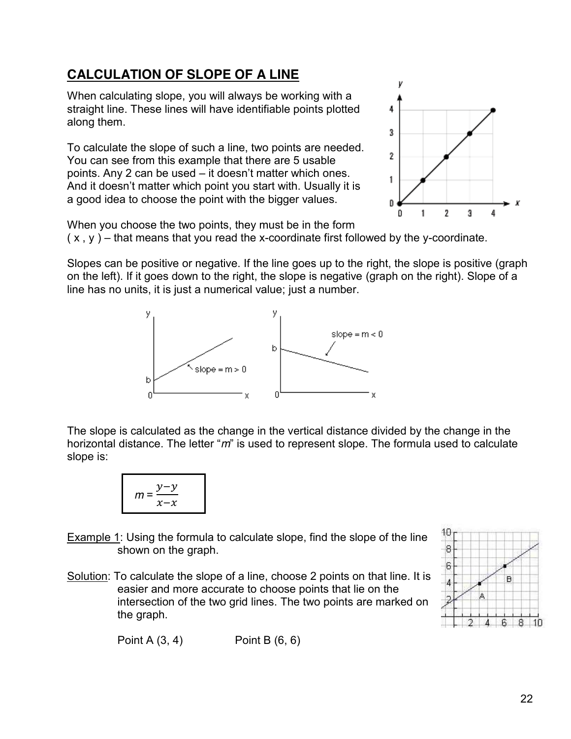# **CALCULATION OF SLOPE OF A LINE**

When calculating slope, you will always be working with a straight line. These lines will have identifiable points plotted along them.

To calculate the slope of such a line, two points are needed. You can see from this example that there are 5 usable points. Any 2 can be used – it doesn't matter which ones. And it doesn't matter which point you start with. Usually it is a good idea to choose the point with the bigger values.



When you choose the two points, they must be in the form  $(x, y)$  – that means that you read the x-coordinate first followed by the y-coordinate.

Slopes can be positive or negative. If the line goes up to the right, the slope is positive (graph on the left). If it goes down to the right, the slope is negative (graph on the right). Slope of a line has no units, it is just a numerical value; just a number.



The slope is calculated as the change in the vertical distance divided by the change in the horizontal distance. The letter "*m*" is used to represent slope. The formula used to calculate slope is:

**Example 1:** Using the formula to calculate slope, find the slope of the line shown on the graph.

Solution: To calculate the slope of a line, choose 2 points on that line. It is easier and more accurate to choose points that lie on the intersection of the two grid lines. The two points are marked on the graph.



Point A (3, 4) Point B (6, 6)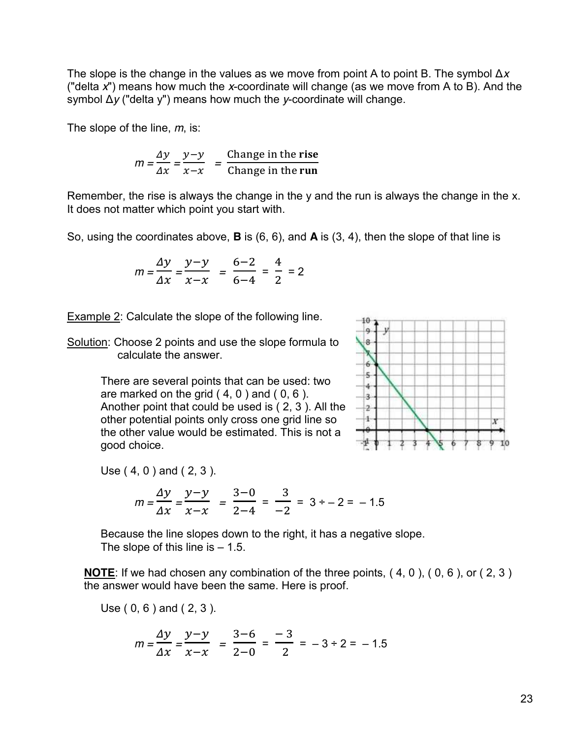The slope is the change in the values as we move from point A to point B. The symbol Δ*x* ("delta *x*") means how much the *x*-coordinate will change (as we move from A to B). And the symbol Δ*y* ("delta y") means how much the *y*-coordinate will change.

The slope of the line, *m*, is:

$$
m = \frac{\Delta y}{\Delta x} = \frac{y - y}{x - x} = \frac{\text{Change in the rise}}{\text{Change in the run}}
$$

Remember, the rise is always the change in the y and the run is always the change in the x. It does not matter which point you start with.

So, using the coordinates above, **B** is (6, 6), and **A** is (3, 4), then the slope of that line is

$$
m = \frac{\Delta y}{\Delta x} = \frac{y - y}{x - x} = \frac{6 - 2}{6 - 4} = \frac{4}{2} = 2
$$

Example 2: Calculate the slope of the following line.

Solution: Choose 2 points and use the slope formula to calculate the answer.

> There are several points that can be used: two are marked on the grid  $(4, 0)$  and  $(0, 6)$ . Another point that could be used is ( 2, 3 ). All the other potential points only cross one grid line so the other value would be estimated. This is not a good choice.

Use ( 4, 0 ) and ( 2, 3 ).

$$
m = \frac{\Delta y}{\Delta x} = \frac{y - y}{x - x} = \frac{3 - 0}{2 - 4} = \frac{3}{-2} = 3 \div -2 = -1.5
$$

Because the line slopes down to the right, it has a negative slope. The slope of this line is  $-1.5$ .

**NOTE:** If we had chosen any combination of the three points, (4, 0), (0, 6), or (2, 3) the answer would have been the same. Here is proof.

Use ( 0, 6 ) and ( 2, 3 ).

$$
m = \frac{\Delta y}{\Delta x} = \frac{y - y}{x - x} = \frac{3 - 6}{2 - 0} = \frac{-3}{2} = -3 \div 2 = -1.5
$$

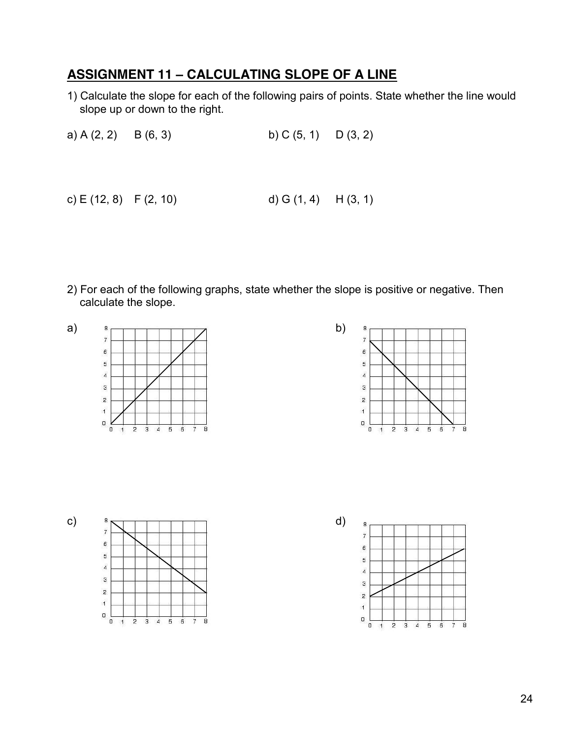# **ASSIGNMENT 11 – CALCULATING SLOPE OF A LINE**

1) Calculate the slope for each of the following pairs of points. State whether the line would slope up or down to the right.

a) A (2, 2) B (6, 3) b) C (5, 1) D (3, 2)

c) E (12, 8) F (2, 10) d) G (1, 4) H (3, 1)

2) For each of the following graphs, state whether the slope is positive or negative. Then calculate the slope.









 $\overline{\mathbf{g}}$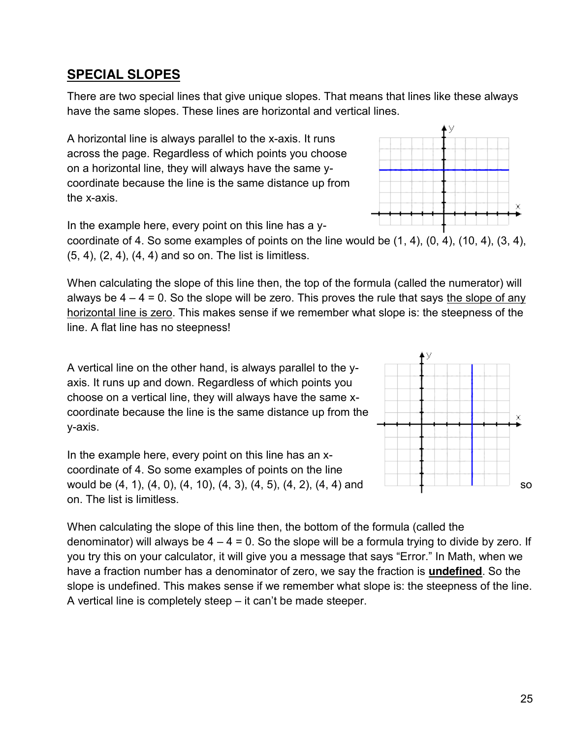#### **SPECIAL SLOPES**

There are two special lines that give unique slopes. That means that lines like these always have the same slopes. These lines are horizontal and vertical lines.

A horizontal line is always parallel to the x-axis. It runs across the page. Regardless of which points you choose on a horizontal line, they will always have the same ycoordinate because the line is the same distance up from the x-axis.

In the example here, every point on this line has a y-

coordinate of 4. So some examples of points on the line would be (1, 4), (0, 4), (10, 4), (3, 4), (5, 4), (2, 4), (4, 4) and so on. The list is limitless.

When calculating the slope of this line then, the top of the formula (called the numerator) will always be  $4 - 4 = 0$ . So the slope will be zero. This proves the rule that says the slope of any horizontal line is zero. This makes sense if we remember what slope is: the steepness of the line. A flat line has no steepness!

A vertical line on the other hand, is always parallel to the yaxis. It runs up and down. Regardless of which points you choose on a vertical line, they will always have the same xcoordinate because the line is the same distance up from the y-axis.

In the example here, every point on this line has an xcoordinate of 4. So some examples of points on the line would be  $(4, 1)$ ,  $(4, 0)$ ,  $(4, 10)$ ,  $(4, 3)$ ,  $(4, 5)$ ,  $(4, 2)$ ,  $(4, 4)$  and on. The list is limitless.

When calculating the slope of this line then, the bottom of the formula (called the denominator) will always be  $4 - 4 = 0$ . So the slope will be a formula trying to divide by zero. If you try this on your calculator, it will give you a message that says "Error." In Math, when we have a fraction number has a denominator of zero, we say the fraction is **undefined**. So the slope is undefined. This makes sense if we remember what slope is: the steepness of the line. A vertical line is completely steep – it can't be made steeper.



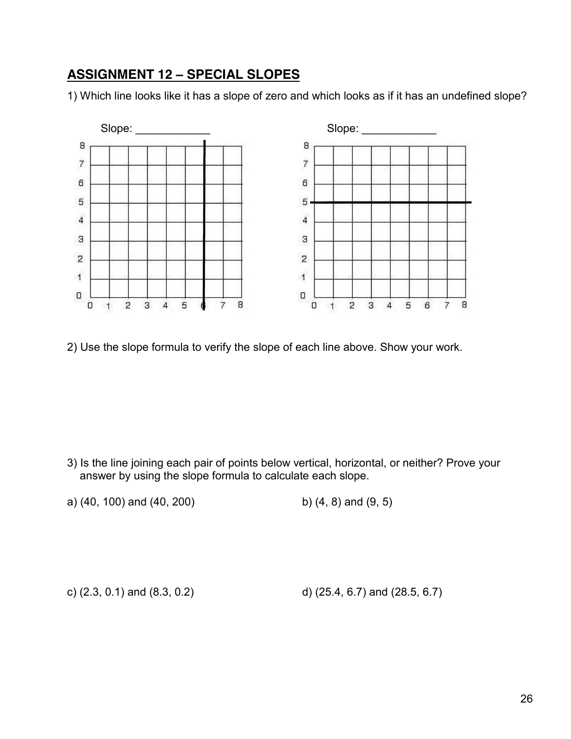## **ASSIGNMENT 12 – SPECIAL SLOPES**

1) Which line looks like it has a slope of zero and which looks as if it has an undefined slope?



2) Use the slope formula to verify the slope of each line above. Show your work.

- 3) Is the line joining each pair of points below vertical, horizontal, or neither? Prove your answer by using the slope formula to calculate each slope.
- a) (40, 100) and (40, 200) b) (4, 8) and (9, 5)

c) (2.3, 0.1) and (8.3, 0.2) d) (25.4, 6.7) and (28.5, 6.7)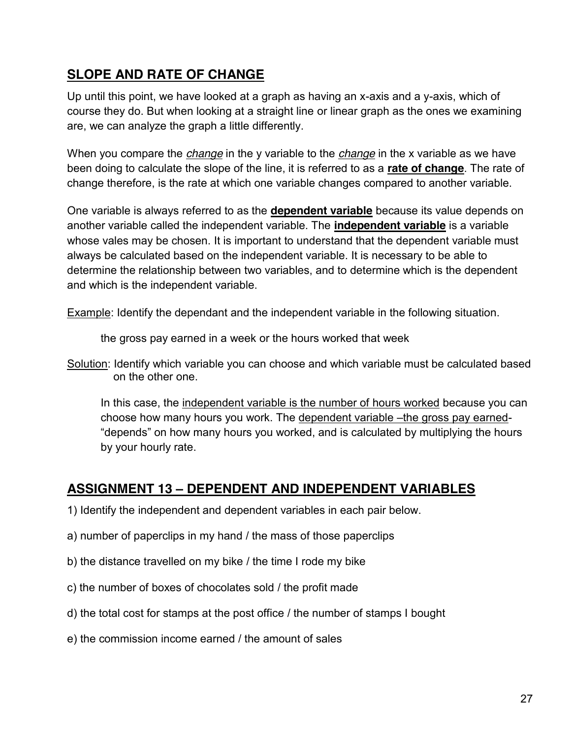# **SLOPE AND RATE OF CHANGE**

Up until this point, we have looked at a graph as having an x-axis and a y-axis, which of course they do. But when looking at a straight line or linear graph as the ones we examining are, we can analyze the graph a little differently.

When you compare the *change* in the y variable to the *change* in the x variable as we have been doing to calculate the slope of the line, it is referred to as a **rate of change**. The rate of change therefore, is the rate at which one variable changes compared to another variable.

One variable is always referred to as the **dependent variable** because its value depends on another variable called the independent variable. The **independent variable** is a variable whose vales may be chosen. It is important to understand that the dependent variable must always be calculated based on the independent variable. It is necessary to be able to determine the relationship between two variables, and to determine which is the dependent and which is the independent variable.

Example: Identify the dependant and the independent variable in the following situation.

the gross pay earned in a week or the hours worked that week

In this case, the independent variable is the number of hours worked because you can choose how many hours you work. The dependent variable –the gross pay earned- "depends" on how many hours you worked, and is calculated by multiplying the hours by your hourly rate.

# **ASSIGNMENT 13 – DEPENDENT AND INDEPENDENT VARIABLES**

- 1) Identify the independent and dependent variables in each pair below.
- a) number of paperclips in my hand / the mass of those paperclips
- b) the distance travelled on my bike / the time I rode my bike
- c) the number of boxes of chocolates sold / the profit made
- d) the total cost for stamps at the post office / the number of stamps I bought
- e) the commission income earned / the amount of sales

Solution: Identify which variable you can choose and which variable must be calculated based on the other one.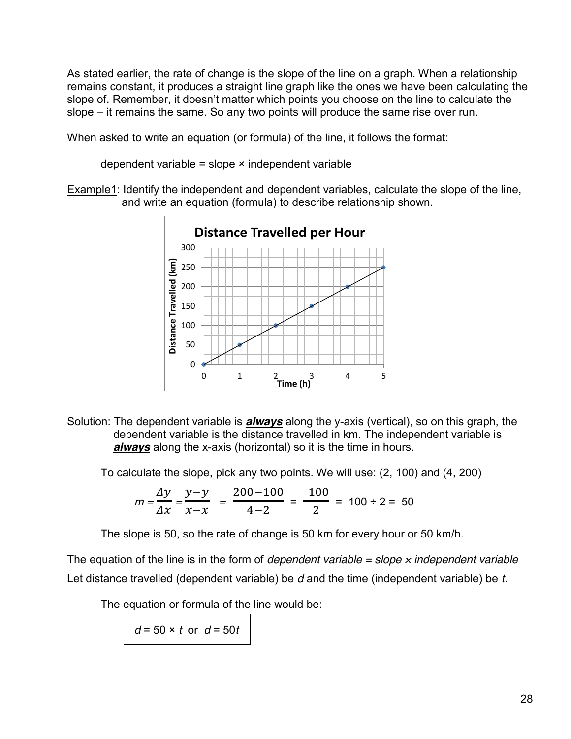As stated earlier, the rate of change is the slope of the line on a graph. When a relationship remains constant, it produces a straight line graph like the ones we have been calculating the slope of. Remember, it doesn't matter which points you choose on the line to calculate the slope – it remains the same. So any two points will produce the same rise over run.

When asked to write an equation (or formula) of the line, it follows the format:

dependent variable = slope  $\times$  independent variable

Example1: Identify the independent and dependent variables, calculate the slope of the line, and write an equation (formula) to describe relationship shown.



Solution: The dependent variable is *always* along the y-axis (vertical), so on this graph, the dependent variable is the distance travelled in km. The independent variable is *always* along the x-axis (horizontal) so it is the time in hours.

To calculate the slope, pick any two points. We will use: (2, 100) and (4, 200)

$$
m = \frac{\Delta y}{\Delta x} = \frac{y - y}{x - x} = \frac{200 - 100}{4 - 2} = \frac{100}{2} = 100 \div 2 = 50
$$

The slope is 50, so the rate of change is 50 km for every hour or 50 km/h.

The equation of the line is in the form of *dependent variable = slope* × *independent variable* Let distance travelled (dependent variable) be *d* and the time (independent variable) be *t*.

The equation or formula of the line would be:

*d* = 50 × *t* or *d* = 50*t*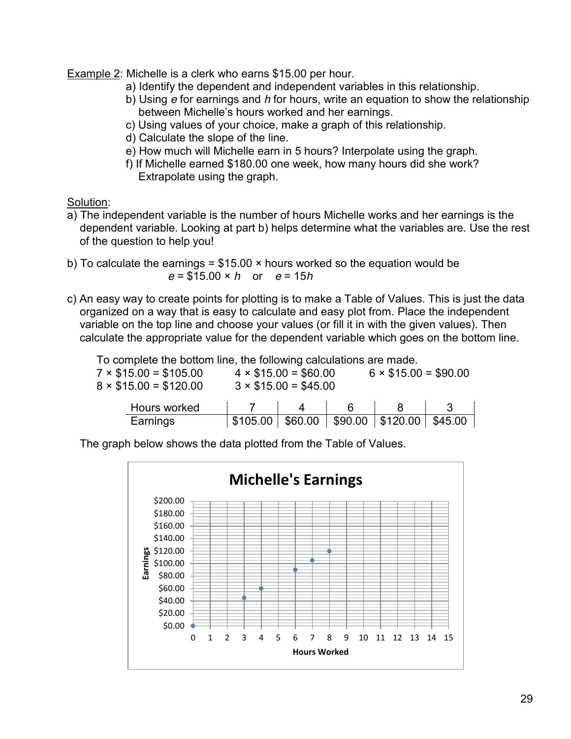Example 2: Michelle is a clerk who earns \$15.00 per hour.

- a) Identify the dependent and independent variables in this relationship.
- b) Using *e* for earnings and *h* for hours, write an equation to show the relationship between Michelle's hours worked and her earnings.
- c) Using values of your choice, make a graph of this relationship.
- d) Calculate the slope of the line.
- e) How much will Michelle earn in 5 hours? Interpolate using the graph.
- f) If Michelle earned \$180.00 one week, how many hours did she work? Extrapolate using the graph.

Solution:

- a) The independent variable is the number of hours Michelle works and her earnings is the dependent variable. Looking at part b) helps determine what the variables are. Use the rest of the question to help you!
- b) To calculate the earnings =  $$15.00 \times$  hours worked so the equation would be *e* = \$15.00 × *h* or *e* = 15*h*
- c) An easy way to create points for plotting is to make a Table of Values. This is just the data organized on a way that is easy to calculate and easy plot from. Place the independent variable on the top line and choose your values (or fill it in with the given values). Then calculate the appropriate value for the dependent variable which goes on the bottom line.

To complete the bottom line, the following calculations are made.

| $7 \times $15.00 = $105.00$<br>$8 \times $15.00 = $120.00$ |                  | $4 \times $15.00 = $60.00$<br>$3 \times $15.00 = $45.00$ | $6 \times $15.00 = $90.00$   |  |
|------------------------------------------------------------|------------------|----------------------------------------------------------|------------------------------|--|
| Hours worked                                               |                  |                                                          |                              |  |
| Earnings                                                   | \$105.00 \$60.00 |                                                          | $90.00$   \$120.00   \$45.00 |  |

The graph below shows the data plotted from the Table of Values.

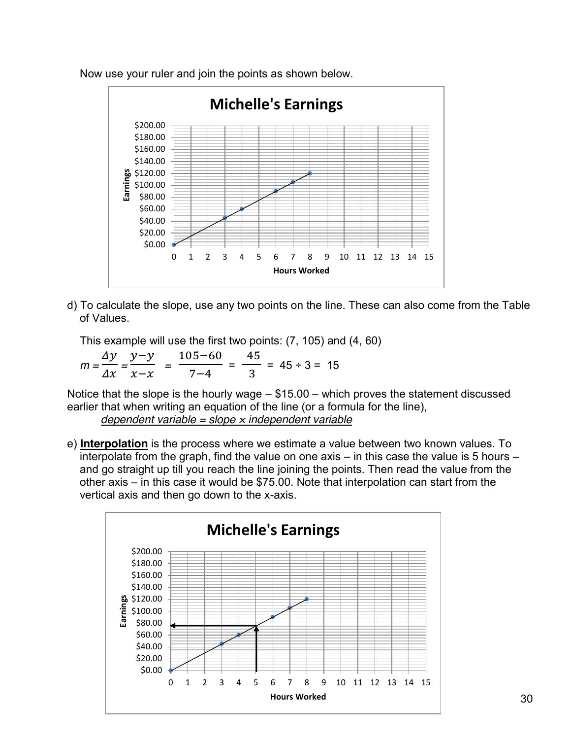

Now use your ruler and join the points as shown below.

d) To calculate the slope, use any two points on the line. These can also come from the Table of Values.

This example will use the first two points: (7, 105) and (4, 60)

*m =*   $\Delta$  $\frac{y}{\Delta x}$  =  $\mathcal{Y}$  $\frac{y}{x-x}$  =  $\mathbf{1}$  $\frac{1}{7-4}$  = 4  $\frac{1}{3}$  = 45 ÷ 3 = 15

Notice that the slope is the hourly wage – \$15.00 – which proves the statement discussed earlier that when writing an equation of the line (or a formula for the line),

*dependent variable = slope* × *independent variable*

e) **Interpolation** is the process where we estimate a value between two known values. To interpolate from the graph, find the value on one axis – in this case the value is 5 hours – and go straight up till you reach the line joining the points. Then read the value from the other axis – in this case it would be \$75.00. Note that interpolation can start from the vertical axis and then go down to the x-axis.

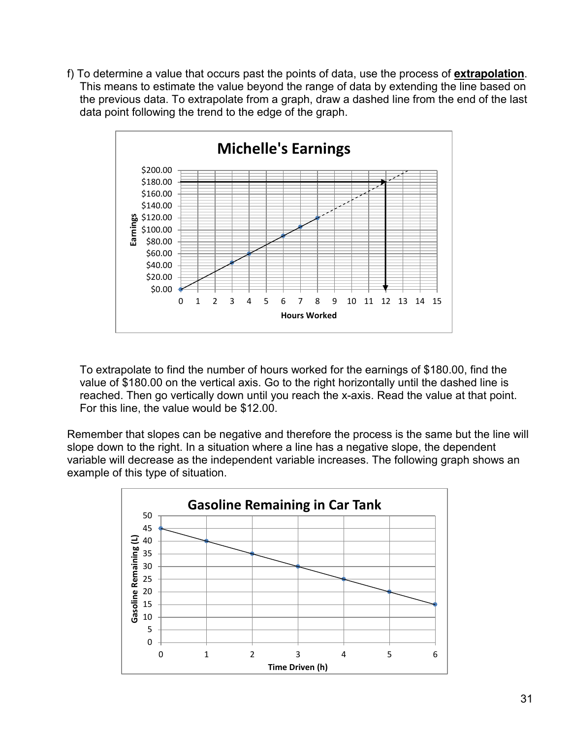f) To determine a value that occurs past the points of data, use the process of **extrapolation**. This means to estimate the value beyond the range of data by extending the line based on the previous data. To extrapolate from a graph, draw a dashed line from the end of the last data point following the trend to the edge of the graph.



To extrapolate to find the number of hours worked for the earnings of \$180.00, find the value of \$180.00 on the vertical axis. Go to the right horizontally until the dashed line is reached. Then go vertically down until you reach the x-axis. Read the value at that point. For this line, the value would be \$12.00.

Remember that slopes can be negative and therefore the process is the same but the line will slope down to the right. In a situation where a line has a negative slope, the dependent variable will decrease as the independent variable increases. The following graph shows an example of this type of situation.

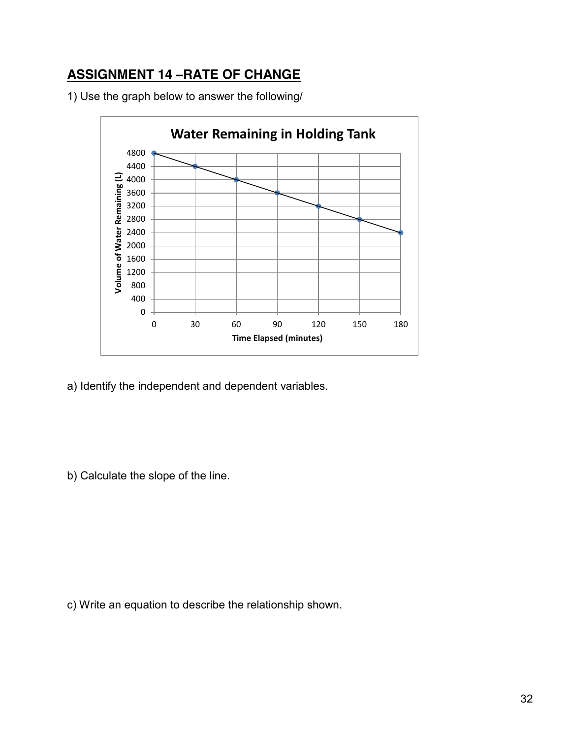# **ASSIGNMENT 14 –RATE OF CHANGE**

1) Use the graph below to answer the following/



a) Identify the independent and dependent variables.

b) Calculate the slope of the line.

c) Write an equation to describe the relationship shown.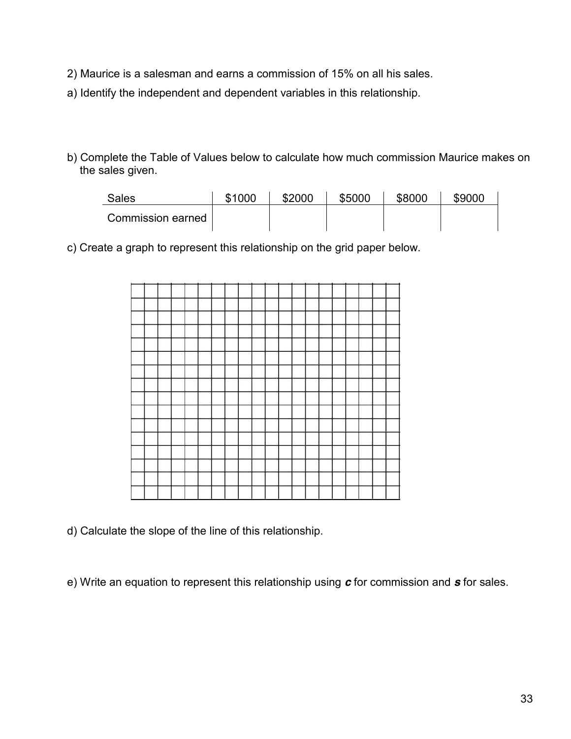- 2) Maurice is a salesman and earns a commission of 15% on all his sales.
- a) Identify the independent and dependent variables in this relationship.
- b) Complete the Table of Values below to calculate how much commission Maurice makes on the sales given.

| Sales             | \$1000 | \$2000 | \$5000 | \$8000 | \$9000 |
|-------------------|--------|--------|--------|--------|--------|
| Commission earned |        |        |        |        |        |

c) Create a graph to represent this relationship on the grid paper below.



d) Calculate the slope of the line of this relationship.

e) Write an equation to represent this relationship using *c* for commission and *s* for sales.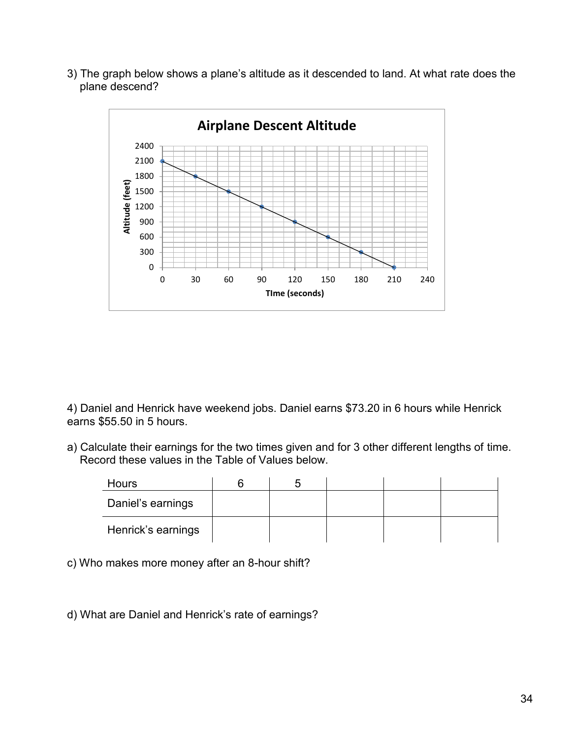3) The graph below shows a plane's altitude as it descended to land. At what rate does the plane descend?



4) Daniel and Henrick have weekend jobs. Daniel earns \$73.20 in 6 hours while Henrick earns \$55.50 in 5 hours.

a) Calculate their earnings for the two times given and for 3 other different lengths of time. Record these values in the Table of Values below.

| Hours              |  |  |  |
|--------------------|--|--|--|
| Daniel's earnings  |  |  |  |
| Henrick's earnings |  |  |  |

c) Who makes more money after an 8-hour shift?

d) What are Daniel and Henrick's rate of earnings?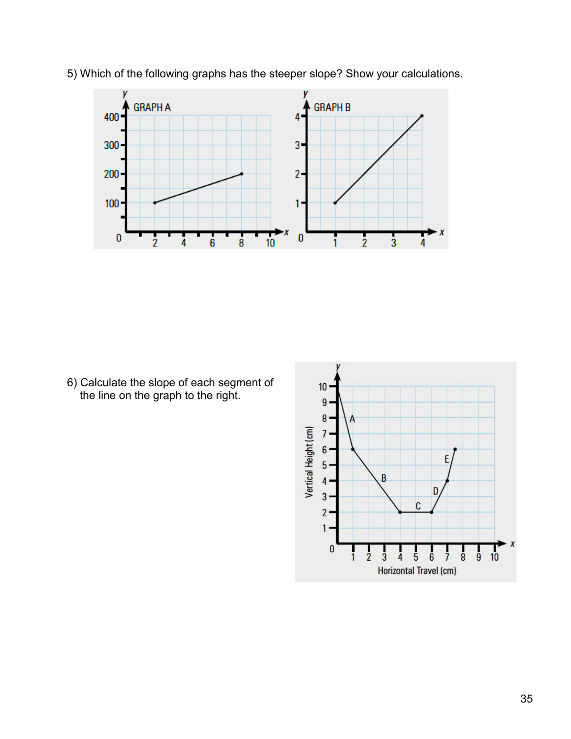

5) Which of the following graphs has the steeper slope? Show your calculations.

6) Calculate the slope of each segment of the line on the graph to the right.